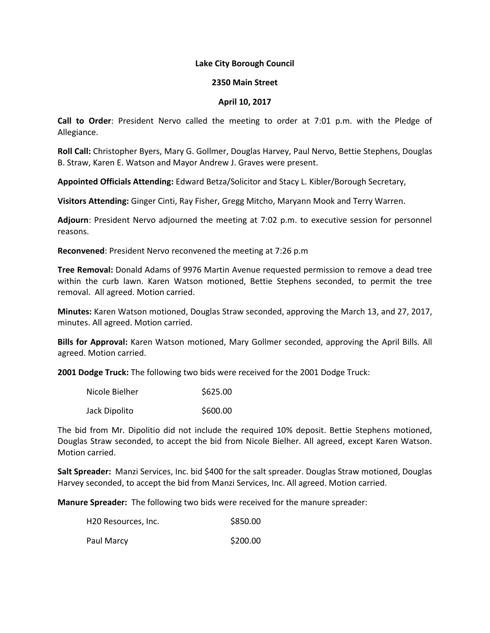## **Lake City Borough Council**

## **2350 Main Street**

## **April 10, 2017**

**Call to Order**: President Nervo called the meeting to order at 7:01 p.m. with the Pledge of Allegiance.

**Roll Call:** Christopher Byers, Mary G. Gollmer, Douglas Harvey, Paul Nervo, Bettie Stephens, Douglas B. Straw, Karen E. Watson and Mayor Andrew J. Graves were present.

**Appointed Officials Attending:** Edward Betza/Solicitor and Stacy L. Kibler/Borough Secretary,

**Visitors Attending:** Ginger Cinti, Ray Fisher, Gregg Mitcho, Maryann Mook and Terry Warren.

**Adjourn**: President Nervo adjourned the meeting at 7:02 p.m. to executive session for personnel reasons.

**Reconvened**: President Nervo reconvened the meeting at 7:26 p.m

**Tree Removal:** Donald Adams of 9976 Martin Avenue requested permission to remove a dead tree within the curb lawn. Karen Watson motioned, Bettie Stephens seconded, to permit the tree removal. All agreed. Motion carried.

**Minutes:** Karen Watson motioned, Douglas Straw seconded, approving the March 13, and 27, 2017, minutes. All agreed. Motion carried.

**Bills for Approval:** Karen Watson motioned, Mary Gollmer seconded, approving the April Bills. All agreed. Motion carried.

**2001 Dodge Truck:** The following two bids were received for the 2001 Dodge Truck:

| Nicole Bielher | \$625.00 |
|----------------|----------|
| Jack Dipolito  | \$600.00 |

The bid from Mr. Dipolitio did not include the required 10% deposit. Bettie Stephens motioned, Douglas Straw seconded, to accept the bid from Nicole Bielher. All agreed, except Karen Watson. Motion carried.

**Salt Spreader:** Manzi Services, Inc. bid \$400 for the salt spreader. Douglas Straw motioned, Douglas Harvey seconded, to accept the bid from Manzi Services, Inc. All agreed. Motion carried.

**Manure Spreader:** The following two bids were received for the manure spreader:

| H20 Resources, Inc. | \$850.00 |
|---------------------|----------|
| Paul Marcy          | \$200.00 |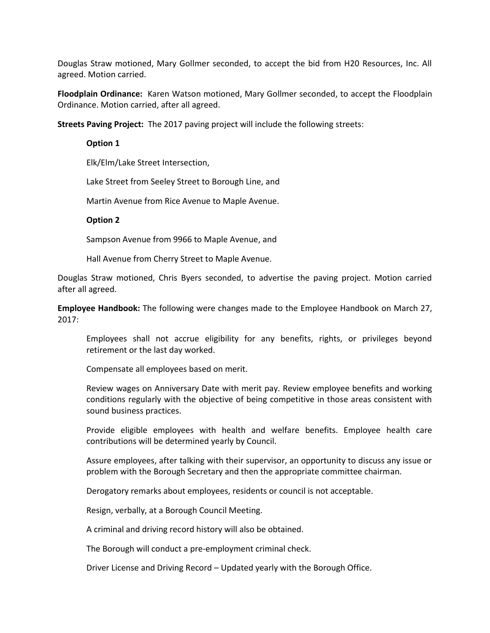Douglas Straw motioned, Mary Gollmer seconded, to accept the bid from H20 Resources, Inc. All agreed. Motion carried.

**Floodplain Ordinance:** Karen Watson motioned, Mary Gollmer seconded, to accept the Floodplain Ordinance. Motion carried, after all agreed.

**Streets Paving Project:** The 2017 paving project will include the following streets:

#### **Option 1**

Elk/Elm/Lake Street Intersection,

Lake Street from Seeley Street to Borough Line, and

Martin Avenue from Rice Avenue to Maple Avenue.

#### **Option 2**

Sampson Avenue from 9966 to Maple Avenue, and

Hall Avenue from Cherry Street to Maple Avenue.

Douglas Straw motioned, Chris Byers seconded, to advertise the paving project. Motion carried after all agreed.

**Employee Handbook:** The following were changes made to the Employee Handbook on March 27, 2017:

Employees shall not accrue eligibility for any benefits, rights, or privileges beyond retirement or the last day worked.

Compensate all employees based on merit.

Review wages on Anniversary Date with merit pay. Review employee benefits and working conditions regularly with the objective of being competitive in those areas consistent with sound business practices.

Provide eligible employees with health and welfare benefits. Employee health care contributions will be determined yearly by Council.

Assure employees, after talking with their supervisor, an opportunity to discuss any issue or problem with the Borough Secretary and then the appropriate committee chairman.

Derogatory remarks about employees, residents or council is not acceptable.

Resign, verbally, at a Borough Council Meeting.

A criminal and driving record history will also be obtained.

The Borough will conduct a pre-employment criminal check.

Driver License and Driving Record – Updated yearly with the Borough Office.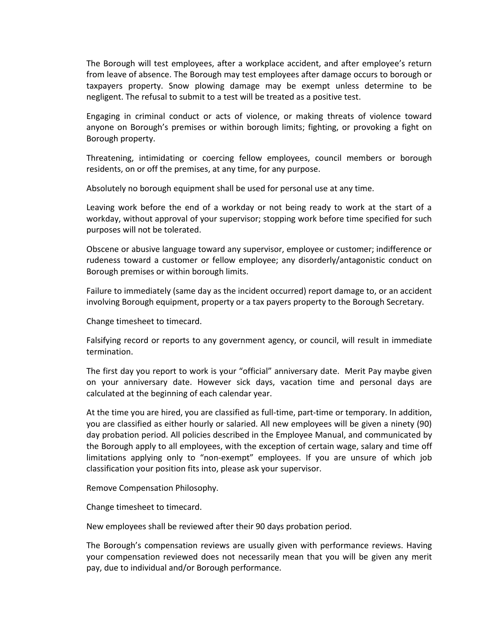The Borough will test employees, after a workplace accident, and after employee's return from leave of absence. The Borough may test employees after damage occurs to borough or taxpayers property. Snow plowing damage may be exempt unless determine to be negligent. The refusal to submit to a test will be treated as a positive test.

Engaging in criminal conduct or acts of violence, or making threats of violence toward anyone on Borough's premises or within borough limits; fighting, or provoking a fight on Borough property.

Threatening, intimidating or coercing fellow employees, council members or borough residents, on or off the premises, at any time, for any purpose.

Absolutely no borough equipment shall be used for personal use at any time.

Leaving work before the end of a workday or not being ready to work at the start of a workday, without approval of your supervisor; stopping work before time specified for such purposes will not be tolerated.

Obscene or abusive language toward any supervisor, employee or customer; indifference or rudeness toward a customer or fellow employee; any disorderly/antagonistic conduct on Borough premises or within borough limits.

Failure to immediately (same day as the incident occurred) report damage to, or an accident involving Borough equipment, property or a tax payers property to the Borough Secretary.

Change timesheet to timecard.

Falsifying record or reports to any government agency, or council, will result in immediate termination.

The first day you report to work is your "official" anniversary date. Merit Pay maybe given on your anniversary date. However sick days, vacation time and personal days are calculated at the beginning of each calendar year.

At the time you are hired, you are classified as full-time, part-time or temporary. In addition, you are classified as either hourly or salaried. All new employees will be given a ninety (90) day probation period. All policies described in the Employee Manual, and communicated by the Borough apply to all employees, with the exception of certain wage, salary and time off limitations applying only to "non-exempt" employees. If you are unsure of which job classification your position fits into, please ask your supervisor.

Remove Compensation Philosophy.

Change timesheet to timecard.

New employees shall be reviewed after their 90 days probation period.

The Borough's compensation reviews are usually given with performance reviews. Having your compensation reviewed does not necessarily mean that you will be given any merit pay, due to individual and/or Borough performance.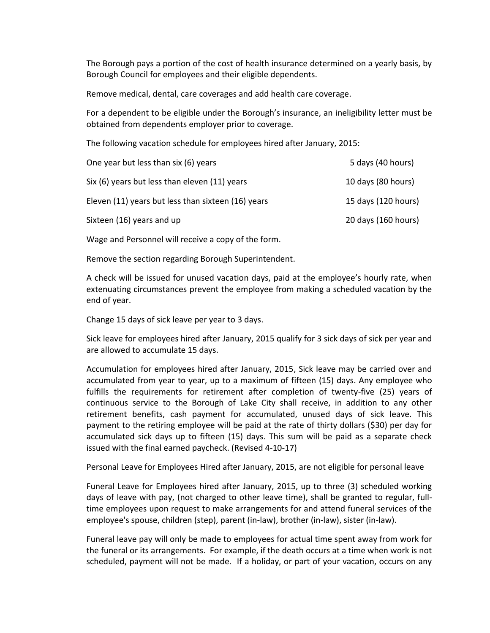The Borough pays a portion of the cost of health insurance determined on a yearly basis, by Borough Council for employees and their eligible dependents.

Remove medical, dental, care coverages and add health care coverage.

For a dependent to be eligible under the Borough's insurance, an ineligibility letter must be obtained from dependents employer prior to coverage.

The following vacation schedule for employees hired after January, 2015:

| One year but less than six (6) years               | 5 days (40 hours)   |
|----------------------------------------------------|---------------------|
| Six (6) years but less than eleven (11) years      | 10 days (80 hours)  |
| Eleven (11) years but less than sixteen (16) years | 15 days (120 hours) |
| Sixteen (16) years and up                          | 20 days (160 hours) |

Wage and Personnel will receive a copy of the form.

Remove the section regarding Borough Superintendent.

A check will be issued for unused vacation days, paid at the employee's hourly rate, when extenuating circumstances prevent the employee from making a scheduled vacation by the end of year.

Change 15 days of sick leave per year to 3 days.

Sick leave for employees hired after January, 2015 qualify for 3 sick days of sick per year and are allowed to accumulate 15 days.

Accumulation for employees hired after January, 2015, Sick leave may be carried over and accumulated from year to year, up to a maximum of fifteen (15) days. Any employee who fulfills the requirements for retirement after completion of twenty-five (25) years of continuous service to the Borough of Lake City shall receive, in addition to any other retirement benefits, cash payment for accumulated, unused days of sick leave. This payment to the retiring employee will be paid at the rate of thirty dollars (\$30) per day for accumulated sick days up to fifteen (15) days. This sum will be paid as a separate check issued with the final earned paycheck. (Revised 4-10-17)

Personal Leave for Employees Hired after January, 2015, are not eligible for personal leave

Funeral Leave for Employees hired after January, 2015, up to three (3) scheduled working days of leave with pay, (not charged to other leave time), shall be granted to regular, fulltime employees upon request to make arrangements for and attend funeral services of the employee's spouse, children (step), parent (in-law), brother (in-law), sister (in-law).

Funeral leave pay will only be made to employees for actual time spent away from work for the funeral or its arrangements. For example, if the death occurs at a time when work is not scheduled, payment will not be made. If a holiday, or part of your vacation, occurs on any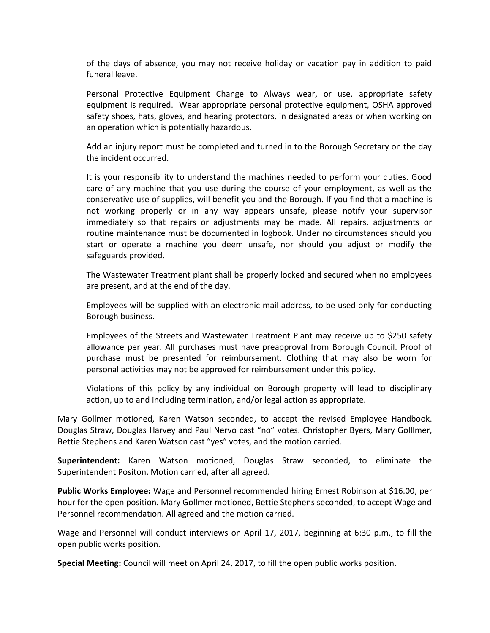of the days of absence, you may not receive holiday or vacation pay in addition to paid funeral leave.

Personal Protective Equipment Change to Always wear, or use, appropriate safety equipment is required. Wear appropriate personal protective equipment, OSHA approved safety shoes, hats, gloves, and hearing protectors, in designated areas or when working on an operation which is potentially hazardous.

Add an injury report must be completed and turned in to the Borough Secretary on the day the incident occurred.

It is your responsibility to understand the machines needed to perform your duties. Good care of any machine that you use during the course of your employment, as well as the conservative use of supplies, will benefit you and the Borough. If you find that a machine is not working properly or in any way appears unsafe, please notify your supervisor immediately so that repairs or adjustments may be made. All repairs, adjustments or routine maintenance must be documented in logbook. Under no circumstances should you start or operate a machine you deem unsafe, nor should you adjust or modify the safeguards provided.

The Wastewater Treatment plant shall be properly locked and secured when no employees are present, and at the end of the day.

Employees will be supplied with an electronic mail address, to be used only for conducting Borough business.

Employees of the Streets and Wastewater Treatment Plant may receive up to \$250 safety allowance per year. All purchases must have preapproval from Borough Council. Proof of purchase must be presented for reimbursement. Clothing that may also be worn for personal activities may not be approved for reimbursement under this policy.

Violations of this policy by any individual on Borough property will lead to disciplinary action, up to and including termination, and/or legal action as appropriate.

Mary Gollmer motioned, Karen Watson seconded, to accept the revised Employee Handbook. Douglas Straw, Douglas Harvey and Paul Nervo cast "no" votes. Christopher Byers, Mary Golllmer, Bettie Stephens and Karen Watson cast "yes" votes, and the motion carried.

**Superintendent:** Karen Watson motioned, Douglas Straw seconded, to eliminate the Superintendent Positon. Motion carried, after all agreed.

**Public Works Employee:** Wage and Personnel recommended hiring Ernest Robinson at \$16.00, per hour for the open position. Mary Gollmer motioned, Bettie Stephens seconded, to accept Wage and Personnel recommendation. All agreed and the motion carried.

Wage and Personnel will conduct interviews on April 17, 2017, beginning at 6:30 p.m., to fill the open public works position.

**Special Meeting:** Council will meet on April 24, 2017, to fill the open public works position.